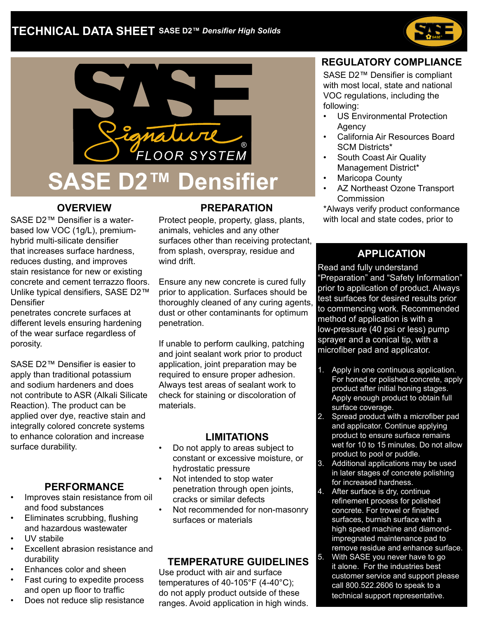



# **OVERVIEW**

SASE D2™ Densifier is a waterbased low VOC (1g/L), premiumhybrid multi-silicate densifier that increases surface hardness, reduces dusting, and improves stain resistance for new or existing concrete and cement terrazzo floors. Unlike typical densifiers, SASE D2™ Densifier

penetrates concrete surfaces at different levels ensuring hardening of the wear surface regardless of porosity.

SASE D2™ Densifier is easier to apply than traditional potassium and sodium hardeners and does not contribute to ASR (Alkali Silicate Reaction). The product can be applied over dye, reactive stain and integrally colored concrete systems to enhance coloration and increase surface durability.

#### **PERFORMANCE**

- Improves stain resistance from oil and food substances
- Eliminates scrubbing, flushing and hazardous wastewater
- UV stabile
- Excellent abrasion resistance and durability
- Enhances color and sheen
- Fast curing to expedite process and open up floor to traffic
- Does not reduce slip resistance

#### **PREPARATION**

Protect people, property, glass, plants, animals, vehicles and any other surfaces other than receiving protectant, from splash, overspray, residue and wind drift.

Ensure any new concrete is cured fully prior to application. Surfaces should be thoroughly cleaned of any curing agents, dust or other contaminants for optimum penetration.

If unable to perform caulking, patching and joint sealant work prior to product application, joint preparation may be required to ensure proper adhesion. Always test areas of sealant work to check for staining or discoloration of materials.

#### **LIMITATIONS**

- Do not apply to areas subject to constant or excessive moisture, or hydrostatic pressure
- Not intended to stop water penetration through open joints, cracks or similar defects
- Not recommended for non-masonry surfaces or materials

#### **TEMPERATURE GUIDELINES**

Use product with air and surface temperatures of 40-105°F (4-40°C); do not apply product outside of these ranges. Avoid application in high winds.

#### **REGULATORY COMPLIANCE**

SASE D2™ Densifier is compliant with most local, state and national VOC regulations, including the following:

- US Environmental Protection **Agency**
- California Air Resources Board SCM Districts\*
- South Coast Air Quality Management District\*
- Maricopa County
- AZ Northeast Ozone Transport **Commission**

\*Always verify product conformance with local and state codes, prior to

# **APPLICATION**

Read and fully understand "Preparation" and "Safety Information" prior to application of product. Always test surfaces for desired results prior to commencing work. Recommended method of application is with a low-pressure (40 psi or less) pump sprayer and a conical tip, with a microfiber pad and applicator.

- 1. Apply in one continuous application. For honed or polished concrete, apply product after initial honing stages. Apply enough product to obtain full surface coverage.
- 2. Spread product with a microfiber pad and applicator. Continue applying product to ensure surface remains wet for 10 to 15 minutes. Do not allow product to pool or puddle.
- 3. Additional applications may be used in later stages of concrete polishing for increased hardness.
- 4. After surface is dry, continue refinement process for polished concrete. For trowel or finished surfaces, burnish surface with a high speed machine and diamondimpregnated maintenance pad to remove residue and enhance surface.
- 5. With SASE you never have to go it alone. For the industries best customer service and support please call 800.522.2606 to speak to a technical support representative.